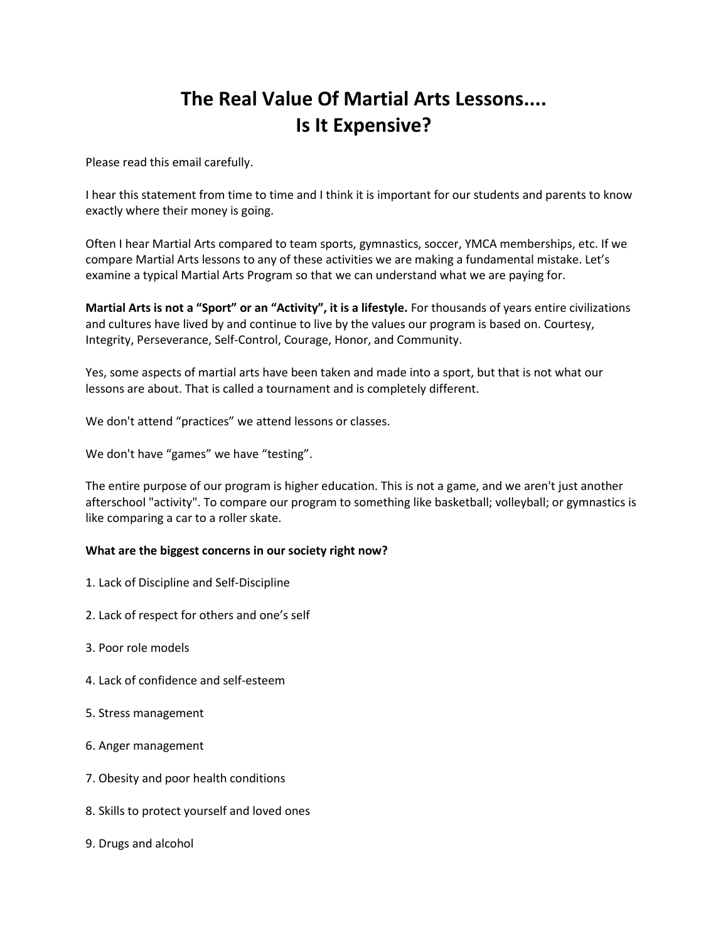# **The Real Value Of Martial Arts Lessons.... Is It Expensive?**

Please read this email carefully.

I hear this statement from time to time and I think it is important for our students and parents to know exactly where their money is going.

Often I hear Martial Arts compared to team sports, gymnastics, soccer, YMCA memberships, etc. If we compare Martial Arts lessons to any of these activities we are making a fundamental mistake. Let's examine a typical Martial Arts Program so that we can understand what we are paying for.

**Martial Arts is not a "Sport" or an "Activity", it is a lifestyle.** For thousands of years entire civilizations and cultures have lived by and continue to live by the values our program is based on. Courtesy, Integrity, Perseverance, Self-Control, Courage, Honor, and Community.

Yes, some aspects of martial arts have been taken and made into a sport, but that is not what our lessons are about. That is called a tournament and is completely different.

We don't attend "practices" we attend lessons or classes.

We don't have "games" we have "testing".

The entire purpose of our program is higher education. This is not a game, and we aren't just another afterschool "activity". To compare our program to something like basketball; volleyball; or gymnastics is like comparing a car to a roller skate.

#### **What are the biggest concerns in our society right now?**

- 1. Lack of Discipline and Self-Discipline
- 2. Lack of respect for others and one's self
- 3. Poor role models
- 4. Lack of confidence and self-esteem
- 5. Stress management
- 6. Anger management
- 7. Obesity and poor health conditions
- 8. Skills to protect yourself and loved ones
- 9. Drugs and alcohol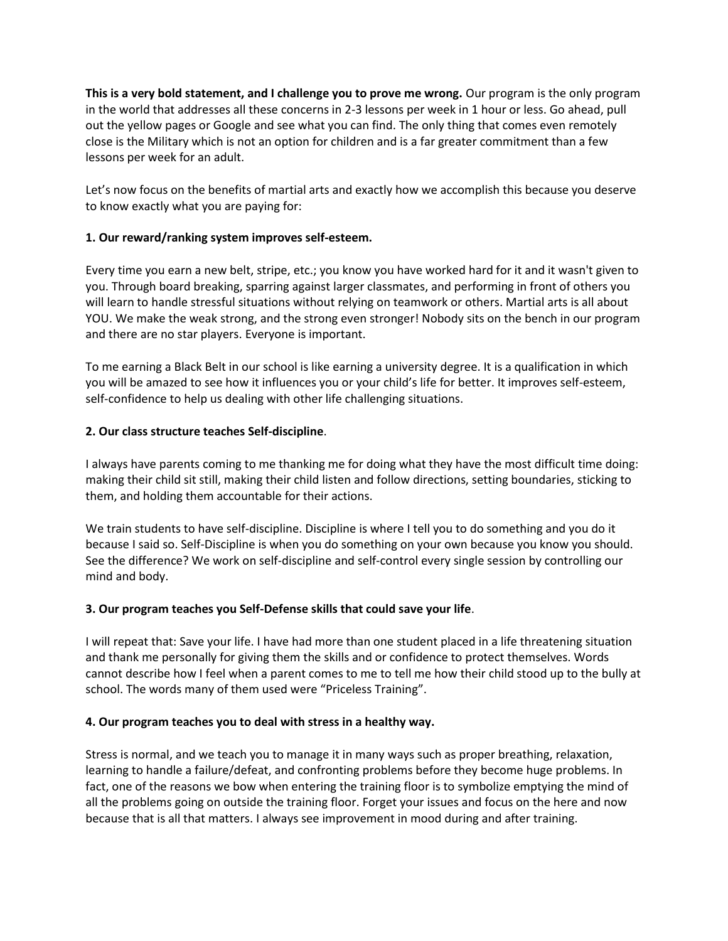**This is a very bold statement, and I challenge you to prove me wrong.** Our program is the only program in the world that addresses all these concerns in 2-3 lessons per week in 1 hour or less. Go ahead, pull out the yellow pages or Google and see what you can find. The only thing that comes even remotely close is the Military which is not an option for children and is a far greater commitment than a few lessons per week for an adult.

Let's now focus on the benefits of martial arts and exactly how we accomplish this because you deserve to know exactly what you are paying for:

## **1. Our reward/ranking system improves self-esteem.**

Every time you earn a new belt, stripe, etc.; you know you have worked hard for it and it wasn't given to you. Through board breaking, sparring against larger classmates, and performing in front of others you will learn to handle stressful situations without relying on teamwork or others. Martial arts is all about YOU. We make the weak strong, and the strong even stronger! Nobody sits on the bench in our program and there are no star players. Everyone is important.

To me earning a Black Belt in our school is like earning a university degree. It is a qualification in which you will be amazed to see how it influences you or your child's life for better. It improves self-esteem, self-confidence to help us dealing with other life challenging situations.

## **2. Our class structure teaches Self-discipline**.

I always have parents coming to me thanking me for doing what they have the most difficult time doing: making their child sit still, making their child listen and follow directions, setting boundaries, sticking to them, and holding them accountable for their actions.

We train students to have self-discipline. Discipline is where I tell you to do something and you do it because I said so. Self-Discipline is when you do something on your own because you know you should. See the difference? We work on self-discipline and self-control every single session by controlling our mind and body.

### **3. Our program teaches you Self-Defense skills that could save your life**.

I will repeat that: Save your life. I have had more than one student placed in a life threatening situation and thank me personally for giving them the skills and or confidence to protect themselves. Words cannot describe how I feel when a parent comes to me to tell me how their child stood up to the bully at school. The words many of them used were "Priceless Training".

### **4. Our program teaches you to deal with stress in a healthy way.**

Stress is normal, and we teach you to manage it in many ways such as proper breathing, relaxation, learning to handle a failure/defeat, and confronting problems before they become huge problems. In fact, one of the reasons we bow when entering the training floor is to symbolize emptying the mind of all the problems going on outside the training floor. Forget your issues and focus on the here and now because that is all that matters. I always see improvement in mood during and after training.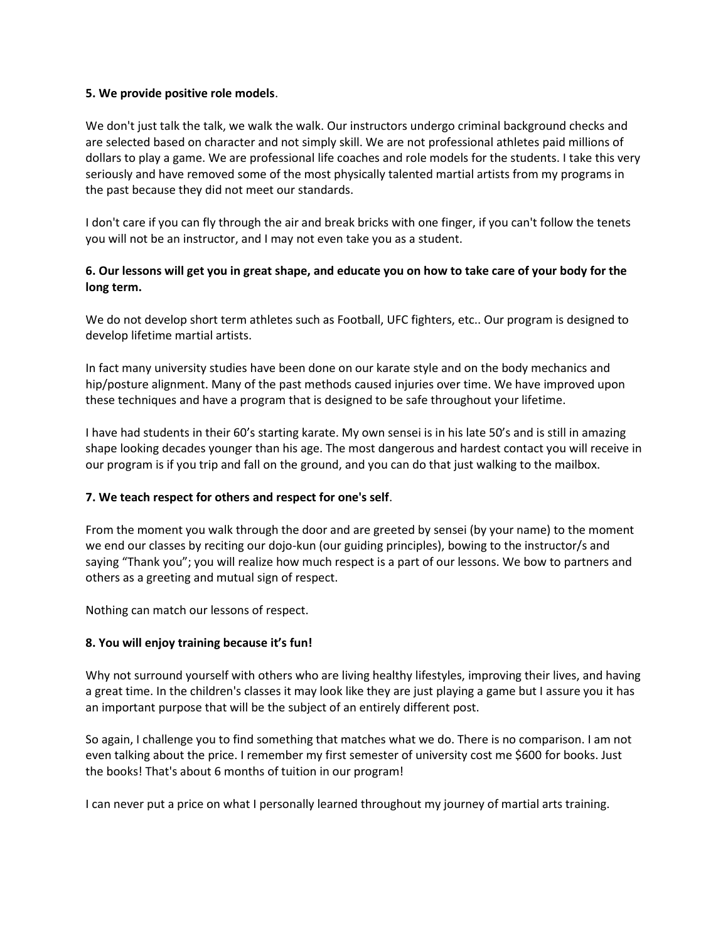### **5. We provide positive role models**.

We don't just talk the talk, we walk the walk. Our instructors undergo criminal background checks and are selected based on character and not simply skill. We are not professional athletes paid millions of dollars to play a game. We are professional life coaches and role models for the students. I take this very seriously and have removed some of the most physically talented martial artists from my programs in the past because they did not meet our standards.

I don't care if you can fly through the air and break bricks with one finger, if you can't follow the tenets you will not be an instructor, and I may not even take you as a student.

## **6. Our lessons will get you in great shape, and educate you on how to take care of your body for the long term.**

We do not develop short term athletes such as Football, UFC fighters, etc.. Our program is designed to develop lifetime martial artists.

In fact many university studies have been done on our karate style and on the body mechanics and hip/posture alignment. Many of the past methods caused injuries over time. We have improved upon these techniques and have a program that is designed to be safe throughout your lifetime.

I have had students in their 60's starting karate. My own sensei is in his late 50's and is still in amazing shape looking decades younger than his age. The most dangerous and hardest contact you will receive in our program is if you trip and fall on the ground, and you can do that just walking to the mailbox.

### **7. We teach respect for others and respect for one's self**.

From the moment you walk through the door and are greeted by sensei (by your name) to the moment we end our classes by reciting our dojo-kun (our guiding principles), bowing to the instructor/s and saying "Thank you"; you will realize how much respect is a part of our lessons. We bow to partners and others as a greeting and mutual sign of respect.

Nothing can match our lessons of respect.

### **8. You will enjoy training because it's fun!**

Why not surround yourself with others who are living healthy lifestyles, improving their lives, and having a great time. In the children's classes it may look like they are just playing a game but I assure you it has an important purpose that will be the subject of an entirely different post.

So again, I challenge you to find something that matches what we do. There is no comparison. I am not even talking about the price. I remember my first semester of university cost me \$600 for books. Just the books! That's about 6 months of tuition in our program!

I can never put a price on what I personally learned throughout my journey of martial arts training.